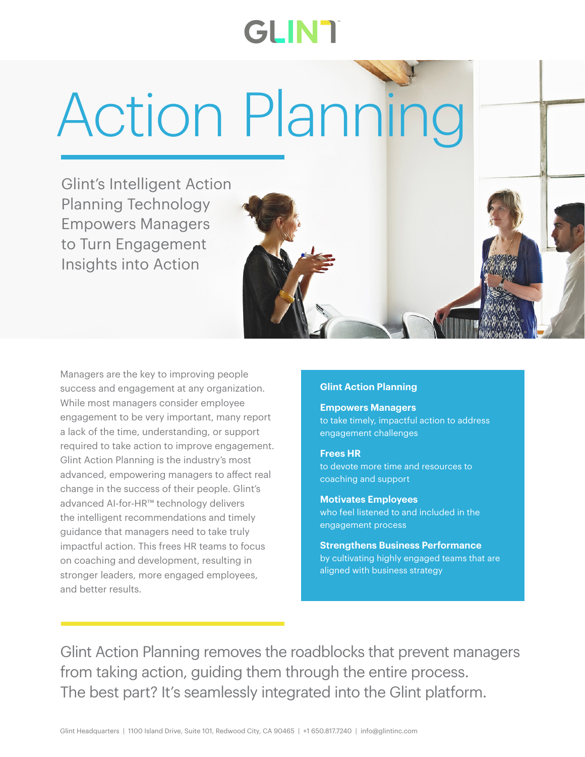# **GLINT**

Action Planning

Glint's Intelligent Action Planning Technology Empowers Managers to Turn Engagement Insights into Action

Managers are the key to improving people success and engagement at any organization. While most managers consider employee engagement to be very important, many report a lack of the time, understanding, or support required to take action to improve engagement. Glint Action Planning is the industry's most advanced, empowering managers to affect real change in the success of their people. Glint's advanced AI-for-HR™ technology delivers the intelligent recommendations and timely guidance that managers need to take truly impactful action. This frees HR teams to focus on coaching and development, resulting in stronger leaders, more engaged employees, and better results.

## **Glint Action Planning**

**Empowers Managers**  to take timely, impactful action to address engagement challenges

#### **Frees HR**

to devote more time and resources to coaching and support

#### **Motivates Employees**

who feel listened to and included in the engagement process

**Strengthens Business Performance**  by cultivating highly engaged teams that are aligned with business strategy

Glint Action Planning removes the roadblocks that prevent managers from taking action, guiding them through the entire process. The best part? It's seamlessly integrated into the Glint platform.